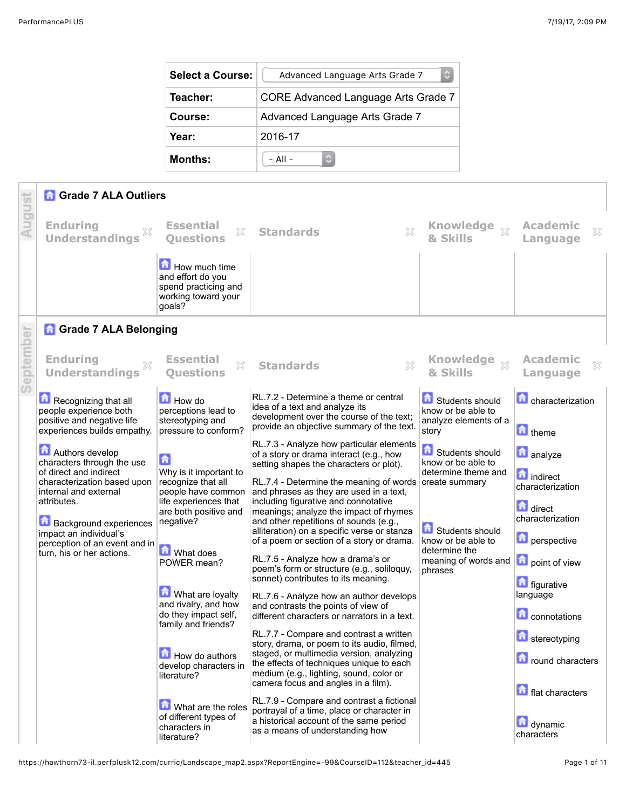| <b>Select a Course:</b> | Advanced Language Arts Grade 7      |  |  |
|-------------------------|-------------------------------------|--|--|
| Teacher:                | CORE Advanced Language Arts Grade 7 |  |  |
| Course:                 | Advanced Language Arts Grade 7      |  |  |
| Year:                   | 2016-17                             |  |  |
| <b>Months:</b>          | $-$ All $-$                         |  |  |

|      | <b>A</b> Grade 7 ALA Outliers                                                                                                                                                                                                                                           |                                                                                                                                                                                                                                                                                                                                             |                                                                                                                                                                                                                                                                                                                                                                                                                                                                                                                                                                                                                                                                                                                                                                                                                                                                                                                                                                                                                                          |                                                                                                                                                           |                                                                                                                                                                                                                                                  |
|------|-------------------------------------------------------------------------------------------------------------------------------------------------------------------------------------------------------------------------------------------------------------------------|---------------------------------------------------------------------------------------------------------------------------------------------------------------------------------------------------------------------------------------------------------------------------------------------------------------------------------------------|------------------------------------------------------------------------------------------------------------------------------------------------------------------------------------------------------------------------------------------------------------------------------------------------------------------------------------------------------------------------------------------------------------------------------------------------------------------------------------------------------------------------------------------------------------------------------------------------------------------------------------------------------------------------------------------------------------------------------------------------------------------------------------------------------------------------------------------------------------------------------------------------------------------------------------------------------------------------------------------------------------------------------------------|-----------------------------------------------------------------------------------------------------------------------------------------------------------|--------------------------------------------------------------------------------------------------------------------------------------------------------------------------------------------------------------------------------------------------|
|      | <b>Enduring</b><br><b>Understandings</b>                                                                                                                                                                                                                                | <b>Essential</b><br>X<br><b>Ouestions</b>                                                                                                                                                                                                                                                                                                   | $\boldsymbol{\mathsf{X}}$<br><b>Standards</b>                                                                                                                                                                                                                                                                                                                                                                                                                                                                                                                                                                                                                                                                                                                                                                                                                                                                                                                                                                                            | Knowledge xx                                                                                                                                              | <b>Academic</b><br>X<br>Language                                                                                                                                                                                                                 |
|      |                                                                                                                                                                                                                                                                         | How much time<br>and effort do you<br>spend practicing and<br>working toward your<br>goals?                                                                                                                                                                                                                                                 |                                                                                                                                                                                                                                                                                                                                                                                                                                                                                                                                                                                                                                                                                                                                                                                                                                                                                                                                                                                                                                          |                                                                                                                                                           |                                                                                                                                                                                                                                                  |
|      | <b>A</b> Grade 7 ALA Belonging                                                                                                                                                                                                                                          |                                                                                                                                                                                                                                                                                                                                             |                                                                                                                                                                                                                                                                                                                                                                                                                                                                                                                                                                                                                                                                                                                                                                                                                                                                                                                                                                                                                                          |                                                                                                                                                           |                                                                                                                                                                                                                                                  |
| epte | <b>Enduring</b><br><b>Understandings</b>                                                                                                                                                                                                                                | <b>Essential</b><br>X<br><b>Ouestions</b>                                                                                                                                                                                                                                                                                                   | ×<br><b>Standards</b>                                                                                                                                                                                                                                                                                                                                                                                                                                                                                                                                                                                                                                                                                                                                                                                                                                                                                                                                                                                                                    | & Skills                                                                                                                                                  | <b>Academic</b><br>×<br>Language                                                                                                                                                                                                                 |
| D    | Recognizing that all<br>people experience both<br>positive and negative life<br>experiences builds empathy.                                                                                                                                                             | How do<br>perceptions lead to<br>stereotyping and<br>pressure to conform?                                                                                                                                                                                                                                                                   | RL.7.2 - Determine a theme or central<br>idea of a text and analyze its<br>development over the course of the text;<br>provide an objective summary of the text.                                                                                                                                                                                                                                                                                                                                                                                                                                                                                                                                                                                                                                                                                                                                                                                                                                                                         | Students should<br>know or be able to<br>analyze elements of a<br>story                                                                                   | <b>Characterization</b><br>theme                                                                                                                                                                                                                 |
|      | <b>Authors develop</b><br>characters through the use<br>of direct and indirect<br>characterization based upon<br>internal and external<br>attributes.<br>Background experiences<br>impact an individual's<br>perception of an event and in<br>turn, his or her actions. | $\mathbf{G}$<br>Why is it important to<br>recognize that all<br>people have common<br>life experiences that<br>are both positive and<br>negative?<br><b>M</b> What does<br>POWER mean?<br>What are loyalty<br>and rivalry, and how<br>do they impact self,<br>family and friends?<br>How do authors<br>develop characters in<br>literature? | RL.7.3 - Analyze how particular elements<br>of a story or drama interact (e.g., how<br>setting shapes the characters or plot).<br>RL.7.4 - Determine the meaning of words create summary<br>and phrases as they are used in a text,<br>including figurative and connotative<br>meanings; analyze the impact of rhymes<br>and other repetitions of sounds (e.g.,<br>alliteration) on a specific verse or stanza<br>of a poem or section of a story or drama.<br>RL.7.5 - Analyze how a drama's or<br>poem's form or structure (e.g., soliloquy,<br>sonnet) contributes to its meaning.<br>RL.7.6 - Analyze how an author develops<br>and contrasts the points of view of<br>different characters or narrators in a text.<br>RL.7.7 - Compare and contrast a written<br>story, drama, or poem to its audio, filmed,<br>staged, or multimedia version, analyzing<br>the effects of techniques unique to each<br>medium (e.g., lighting, sound, color or<br>camera focus and angles in a film).<br>RL.7.9 - Compare and contrast a fictional | Students should<br>know or be able to<br>determine theme and<br>Students should<br>know or be able to<br>determine the<br>meaning of words and<br>phrases | <b>n</b> analyze<br>ndirect<br>characterization<br>direct<br>characterization<br><b>n</b> perspective<br>point of view<br><b>n</b> figurative<br>language<br><b>Connotations</b><br>stereotyping<br><b>n</b> round characters<br>flat characters |
|      |                                                                                                                                                                                                                                                                         | What are the roles<br>of different types of<br>characters in<br>literature?                                                                                                                                                                                                                                                                 | portrayal of a time, place or character in<br>a historical account of the same period<br>as a means of understanding how                                                                                                                                                                                                                                                                                                                                                                                                                                                                                                                                                                                                                                                                                                                                                                                                                                                                                                                 |                                                                                                                                                           | dynamic<br>characters                                                                                                                                                                                                                            |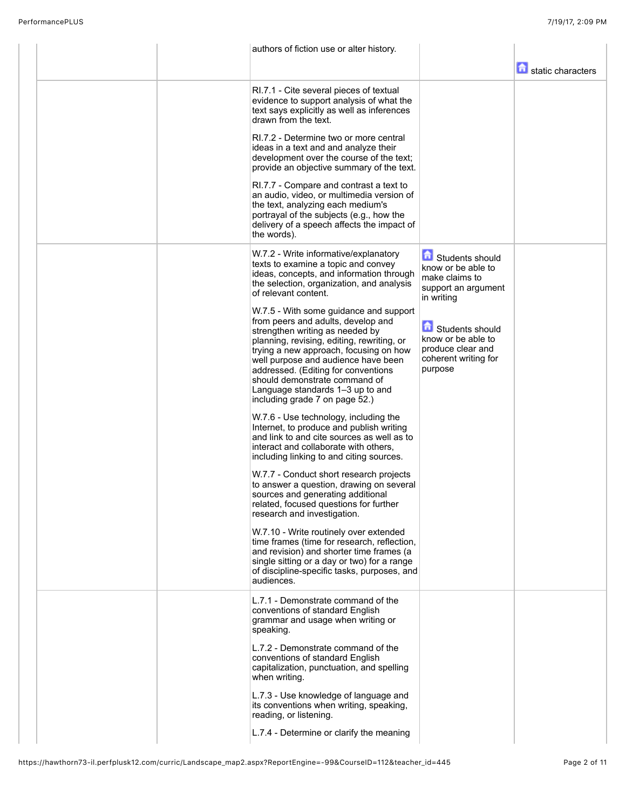|  | authors of fiction use or alter history.                                                                                                                                                                                                                                                                                                                                                     |                                                                                               |                   |
|--|----------------------------------------------------------------------------------------------------------------------------------------------------------------------------------------------------------------------------------------------------------------------------------------------------------------------------------------------------------------------------------------------|-----------------------------------------------------------------------------------------------|-------------------|
|  |                                                                                                                                                                                                                                                                                                                                                                                              |                                                                                               | static characters |
|  | RI.7.1 - Cite several pieces of textual<br>evidence to support analysis of what the<br>text says explicitly as well as inferences<br>drawn from the text.                                                                                                                                                                                                                                    |                                                                                               |                   |
|  | RI.7.2 - Determine two or more central<br>ideas in a text and and analyze their<br>development over the course of the text;<br>provide an objective summary of the text.                                                                                                                                                                                                                     |                                                                                               |                   |
|  | RI.7.7 - Compare and contrast a text to<br>an audio, video, or multimedia version of<br>the text, analyzing each medium's<br>portrayal of the subjects (e.g., how the<br>delivery of a speech affects the impact of<br>the words).                                                                                                                                                           |                                                                                               |                   |
|  | W.7.2 - Write informative/explanatory<br>texts to examine a topic and convey<br>ideas, concepts, and information through<br>the selection, organization, and analysis<br>of relevant content.                                                                                                                                                                                                | Students should<br>know or be able to<br>make claims to<br>support an argument<br>in writing  |                   |
|  | W.7.5 - With some guidance and support<br>from peers and adults, develop and<br>strengthen writing as needed by<br>planning, revising, editing, rewriting, or<br>trying a new approach, focusing on how<br>well purpose and audience have been<br>addressed. (Editing for conventions<br>should demonstrate command of<br>Language standards 1-3 up to and<br>including grade 7 on page 52.) | Students should<br>know or be able to<br>produce clear and<br>coherent writing for<br>purpose |                   |
|  | W.7.6 - Use technology, including the<br>Internet, to produce and publish writing<br>and link to and cite sources as well as to<br>interact and collaborate with others,<br>including linking to and citing sources.                                                                                                                                                                         |                                                                                               |                   |
|  | W.7.7 - Conduct short research projects<br>to answer a question, drawing on several<br>sources and generating additional<br>related, focused questions for further<br>research and investigation.                                                                                                                                                                                            |                                                                                               |                   |
|  | W.7.10 - Write routinely over extended<br>time frames (time for research, reflection,<br>and revision) and shorter time frames (a<br>single sitting or a day or two) for a range<br>of discipline-specific tasks, purposes, and<br>audiences.                                                                                                                                                |                                                                                               |                   |
|  | L.7.1 - Demonstrate command of the<br>conventions of standard English<br>grammar and usage when writing or<br>speaking.                                                                                                                                                                                                                                                                      |                                                                                               |                   |
|  | L.7.2 - Demonstrate command of the<br>conventions of standard English<br>capitalization, punctuation, and spelling<br>when writing.                                                                                                                                                                                                                                                          |                                                                                               |                   |
|  | L.7.3 - Use knowledge of language and<br>its conventions when writing, speaking,<br>reading, or listening.                                                                                                                                                                                                                                                                                   |                                                                                               |                   |
|  | L.7.4 - Determine or clarify the meaning                                                                                                                                                                                                                                                                                                                                                     |                                                                                               |                   |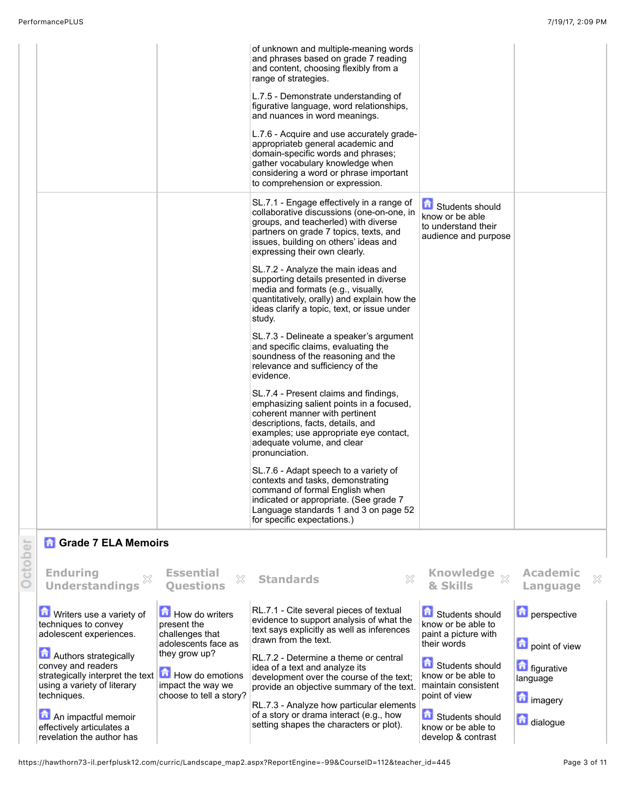|         |                                                                                                                                   |                                                                                          | of unknown and multiple-meaning words<br>and phrases based on grade 7 reading<br>and content, choosing flexibly from a<br>range of strategies.<br>L.7.5 - Demonstrate understanding of<br>figurative language, word relationships,<br>and nuances in word meanings.<br>L.7.6 - Acquire and use accurately grade-<br>appropriateb general academic and<br>domain-specific words and phrases;<br>gather vocabulary knowledge when<br>considering a word or phrase important<br>to comprehension or expression.<br>SL.7.1 - Engage effectively in a range of<br>collaborative discussions (one-on-one, in<br>groups, and teacherled) with diverse<br>partners on grade 7 topics, texts, and<br>issues, building on others' ideas and<br>expressing their own clearly.<br>SL.7.2 - Analyze the main ideas and<br>supporting details presented in diverse<br>media and formats (e.g., visually,<br>quantitatively, orally) and explain how the<br>ideas clarify a topic, text, or issue under<br>study.<br>SL.7.3 - Delineate a speaker's argument<br>and specific claims, evaluating the<br>soundness of the reasoning and the<br>relevance and sufficiency of the<br>evidence. | Students should<br>know or be able<br>to understand their<br>audience and purpose                    |                                                              |  |
|---------|-----------------------------------------------------------------------------------------------------------------------------------|------------------------------------------------------------------------------------------|-----------------------------------------------------------------------------------------------------------------------------------------------------------------------------------------------------------------------------------------------------------------------------------------------------------------------------------------------------------------------------------------------------------------------------------------------------------------------------------------------------------------------------------------------------------------------------------------------------------------------------------------------------------------------------------------------------------------------------------------------------------------------------------------------------------------------------------------------------------------------------------------------------------------------------------------------------------------------------------------------------------------------------------------------------------------------------------------------------------------------------------------------------------------------------|------------------------------------------------------------------------------------------------------|--------------------------------------------------------------|--|
|         |                                                                                                                                   |                                                                                          | SL.7.4 - Present claims and findings,<br>emphasizing salient points in a focused,<br>coherent manner with pertinent<br>descriptions, facts, details, and<br>examples; use appropriate eye contact,<br>adequate volume, and clear<br>pronunciation.<br>SL.7.6 - Adapt speech to a variety of<br>contexts and tasks, demonstrating<br>command of formal English when<br>indicated or appropriate. (See grade 7<br>Language standards 1 and 3 on page 52                                                                                                                                                                                                                                                                                                                                                                                                                                                                                                                                                                                                                                                                                                                       |                                                                                                      |                                                              |  |
|         |                                                                                                                                   |                                                                                          | for specific expectations.)                                                                                                                                                                                                                                                                                                                                                                                                                                                                                                                                                                                                                                                                                                                                                                                                                                                                                                                                                                                                                                                                                                                                                 |                                                                                                      |                                                              |  |
| October | <b>Grade 7 ELA Memoirs</b><br><b>Enduring</b><br>X<br><b>Understandings</b>                                                       | <b>Essential</b><br>X<br><b>Ouestions</b>                                                | 53<br><b>Standards</b>                                                                                                                                                                                                                                                                                                                                                                                                                                                                                                                                                                                                                                                                                                                                                                                                                                                                                                                                                                                                                                                                                                                                                      | Knowledge xx<br>& Skills                                                                             | <b>Academic</b><br>×<br>Language                             |  |
|         | Writers use a variety of<br>techniques to convey<br>adolescent experiences.<br><b>Authors strategically</b><br>convey and readers | How do writers<br>present the<br>challenges that<br>adolescents face as<br>they grow up? | RL.7.1 - Cite several pieces of textual<br>evidence to support analysis of what the<br>text says explicitly as well as inferences<br>drawn from the text.<br>RL.7.2 - Determine a theme or central<br>idea of a text and analyze its                                                                                                                                                                                                                                                                                                                                                                                                                                                                                                                                                                                                                                                                                                                                                                                                                                                                                                                                        | Students should<br>know or be able to<br>paint a picture with<br>their words<br>命<br>Students should | <b>n</b> perspective<br>point of view<br><b>n</b> figurative |  |
|         | strategically interpret the text<br>using a variety of literary<br>techniques.                                                    | How do emotions<br>impact the way we<br>choose to tell a story?                          | development over the course of the text;<br>provide an objective summary of the text.                                                                                                                                                                                                                                                                                                                                                                                                                                                                                                                                                                                                                                                                                                                                                                                                                                                                                                                                                                                                                                                                                       | know or be able to<br>maintain consistent<br>point of view                                           | language<br>$\Box$ imagen                                    |  |

An impactful memoir effectively articulates a revelation the author has RL.7.3 - Analyze how particular elements of a story or drama interact (e.g., how setting shapes the characters or plot). know or be able to develop & contrast **in** imagery

dialogue

Students should

https://hawthorn73-il.perfplusk12.com/curric/Landscape\_map2.aspx?ReportEngine=-99&CourseID=112&teacher\_id=445 Page 3 of 11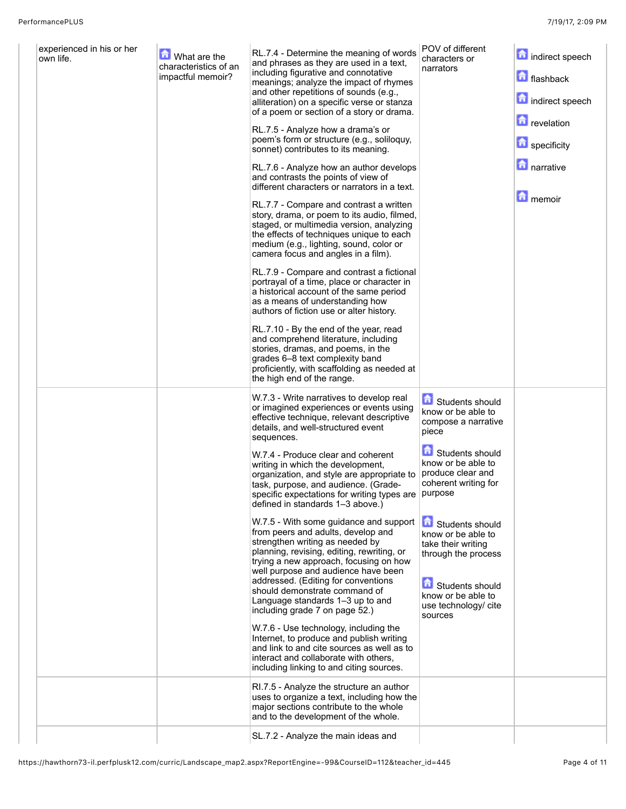| experienced in his or her<br>own life. | What are the<br>characteristics of an<br>impactful memoir? | RL.7.4 - Determine the meaning of words<br>and phrases as they are used in a text,<br>including figurative and connotative<br>meanings; analyze the impact of rhymes<br>and other repetitions of sounds (e.g.,<br>alliteration) on a specific verse or stanza<br>of a poem or section of a story or drama.<br>RL.7.5 - Analyze how a drama's or<br>poem's form or structure (e.g., soliloquy,<br>sonnet) contributes to its meaning.<br>RL.7.6 - Analyze how an author develops<br>and contrasts the points of view of<br>different characters or narrators in a text.<br>RL.7.7 - Compare and contrast a written<br>story, drama, or poem to its audio, filmed,<br>staged, or multimedia version, analyzing<br>the effects of techniques unique to each<br>medium (e.g., lighting, sound, color or<br>camera focus and angles in a film).<br>RL.7.9 - Compare and contrast a fictional<br>portrayal of a time, place or character in<br>a historical account of the same period<br>as a means of understanding how<br>authors of fiction use or alter history.<br>RL.7.10 - By the end of the year, read<br>and comprehend literature, including<br>stories, dramas, and poems, in the<br>grades 6–8 text complexity band<br>proficiently, with scaffolding as needed at<br>the high end of the range. | POV of different<br>characters or<br>narrators                                                                                                                                                                                                                                                                                | indirect speech<br>flashback<br>indirect speech<br><b>D</b> revelation<br>specificity<br><b>narrative</b><br><b>n</b> memoir |
|----------------------------------------|------------------------------------------------------------|---------------------------------------------------------------------------------------------------------------------------------------------------------------------------------------------------------------------------------------------------------------------------------------------------------------------------------------------------------------------------------------------------------------------------------------------------------------------------------------------------------------------------------------------------------------------------------------------------------------------------------------------------------------------------------------------------------------------------------------------------------------------------------------------------------------------------------------------------------------------------------------------------------------------------------------------------------------------------------------------------------------------------------------------------------------------------------------------------------------------------------------------------------------------------------------------------------------------------------------------------------------------------------------------------------|-------------------------------------------------------------------------------------------------------------------------------------------------------------------------------------------------------------------------------------------------------------------------------------------------------------------------------|------------------------------------------------------------------------------------------------------------------------------|
|                                        |                                                            | W.7.3 - Write narratives to develop real<br>or imagined experiences or events using<br>effective technique, relevant descriptive<br>details, and well-structured event<br>sequences.<br>W.7.4 - Produce clear and coherent<br>writing in which the development,<br>organization, and style are appropriate to<br>task, purpose, and audience. (Grade-<br>specific expectations for writing types are   purpose<br>defined in standards 1-3 above.)<br>W.7.5 - With some guidance and support<br>from peers and adults, develop and<br>strengthen writing as needed by<br>planning, revising, editing, rewriting, or<br>trying a new approach, focusing on how<br>well purpose and audience have been<br>addressed. (Editing for conventions<br>should demonstrate command of<br>Language standards 1-3 up to and<br>including grade 7 on page 52.)<br>W.7.6 - Use technology, including the<br>Internet, to produce and publish writing<br>and link to and cite sources as well as to<br>interact and collaborate with others.<br>including linking to and citing sources.                                                                                                                                                                                                                              | Students should<br>know or be able to<br>compose a narrative<br>piece<br>Students should<br>know or be able to<br>produce clear and<br>coherent writing for<br>Students should<br>know or be able to<br>take their writing<br>through the process<br>Students should<br>know or be able to<br>use technology/ cite<br>sources |                                                                                                                              |
|                                        |                                                            | RI.7.5 - Analyze the structure an author<br>uses to organize a text, including how the<br>major sections contribute to the whole<br>and to the development of the whole.                                                                                                                                                                                                                                                                                                                                                                                                                                                                                                                                                                                                                                                                                                                                                                                                                                                                                                                                                                                                                                                                                                                                |                                                                                                                                                                                                                                                                                                                               |                                                                                                                              |
|                                        |                                                            | SL.7.2 - Analyze the main ideas and                                                                                                                                                                                                                                                                                                                                                                                                                                                                                                                                                                                                                                                                                                                                                                                                                                                                                                                                                                                                                                                                                                                                                                                                                                                                     |                                                                                                                                                                                                                                                                                                                               |                                                                                                                              |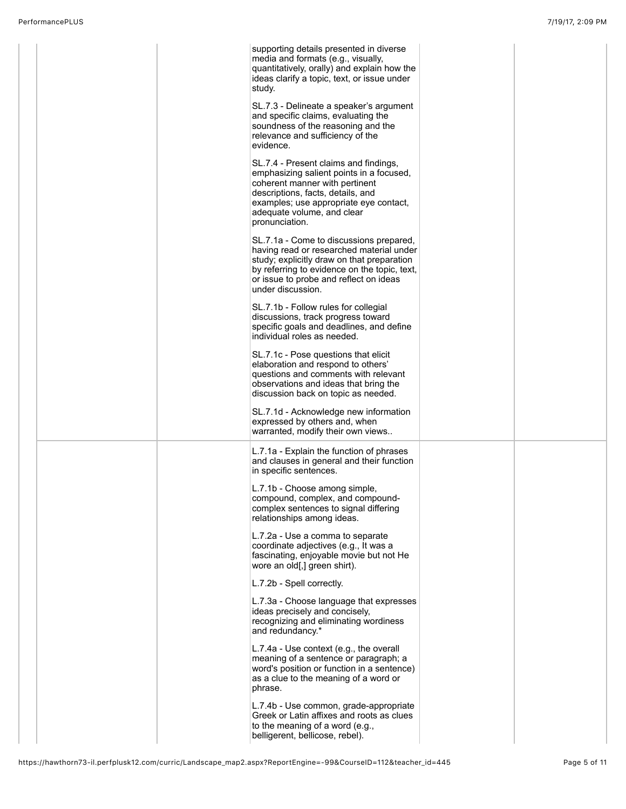|  | supporting details presented in diverse<br>media and formats (e.g., visually,<br>quantitatively, orally) and explain how the<br>ideas clarify a topic, text, or issue under<br>study.                                                              |  |
|--|----------------------------------------------------------------------------------------------------------------------------------------------------------------------------------------------------------------------------------------------------|--|
|  | SL.7.3 - Delineate a speaker's argument<br>and specific claims, evaluating the<br>soundness of the reasoning and the<br>relevance and sufficiency of the<br>evidence.                                                                              |  |
|  | SL.7.4 - Present claims and findings,<br>emphasizing salient points in a focused,<br>coherent manner with pertinent<br>descriptions, facts, details, and<br>examples; use appropriate eye contact,<br>adequate volume, and clear<br>pronunciation. |  |
|  | SL.7.1a - Come to discussions prepared,<br>having read or researched material under<br>study; explicitly draw on that preparation<br>by referring to evidence on the topic, text,<br>or issue to probe and reflect on ideas<br>under discussion.   |  |
|  | SL.7.1b - Follow rules for collegial<br>discussions, track progress toward<br>specific goals and deadlines, and define<br>individual roles as needed.                                                                                              |  |
|  | SL.7.1c - Pose questions that elicit<br>elaboration and respond to others'<br>questions and comments with relevant<br>observations and ideas that bring the<br>discussion back on topic as needed.                                                 |  |
|  | SL.7.1d - Acknowledge new information<br>expressed by others and, when<br>warranted, modify their own views                                                                                                                                        |  |
|  | L.7.1a - Explain the function of phrases<br>and clauses in general and their function<br>in specific sentences.                                                                                                                                    |  |
|  | L.7.1b - Choose among simple,<br>compound, complex, and compound-<br>complex sentences to signal differing<br>relationships among ideas.                                                                                                           |  |
|  | L.7.2a - Use a comma to separate<br>coordinate adjectives (e.g., It was a<br>fascinating, enjoyable movie but not He<br>wore an old[,] green shirt).                                                                                               |  |
|  | L.7.2b - Spell correctly.                                                                                                                                                                                                                          |  |
|  | L.7.3a - Choose language that expresses<br>ideas precisely and concisely,<br>recognizing and eliminating wordiness<br>and redundancy.*                                                                                                             |  |
|  | L.7.4a - Use context (e.g., the overall<br>meaning of a sentence or paragraph; a<br>word's position or function in a sentence)<br>as a clue to the meaning of a word or<br>phrase.                                                                 |  |
|  | L.7.4b - Use common, grade-appropriate<br>Greek or Latin affixes and roots as clues<br>to the meaning of a word (e.g.,<br>belligerent, bellicose, rebel).                                                                                          |  |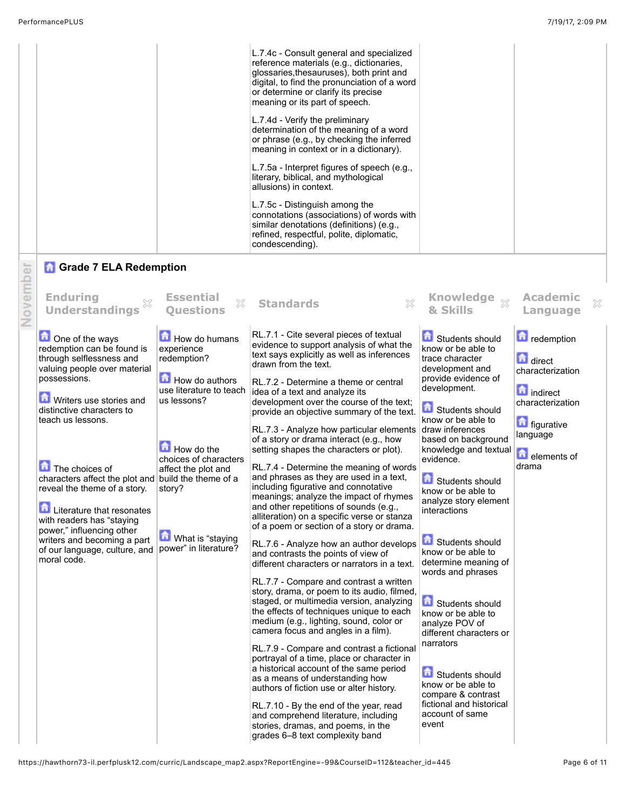|          |                                                                                                                                                                                                                                                                                                                                                                                                                                                                                                       |                                                                                                                                                                                                                             | L.7.4c - Consult general and specialized<br>reference materials (e.g., dictionaries,<br>glossaries, thesauruses), both print and<br>digital, to find the pronunciation of a word<br>or determine or clarify its precise<br>meaning or its part of speech.<br>L.7.4d - Verify the preliminary<br>determination of the meaning of a word<br>or phrase (e.g., by checking the inferred<br>meaning in context or in a dictionary).<br>L.7.5a - Interpret figures of speech (e.g.,<br>literary, biblical, and mythological<br>allusions) in context.<br>L.7.5c - Distinguish among the<br>connotations (associations) of words with<br>similar denotations (definitions) (e.g.,<br>refined, respectful, polite, diplomatic,<br>condescending).                                                                                                                                                                                                                                                                                                                                                                                                                                                                                                                                                                                                                                                                                                                                                                                                                                           |                                                                                                                                                                                                                                                                                                                                                                                                                                                                                                                                                                                                                            |                                                                                                                                                     |
|----------|-------------------------------------------------------------------------------------------------------------------------------------------------------------------------------------------------------------------------------------------------------------------------------------------------------------------------------------------------------------------------------------------------------------------------------------------------------------------------------------------------------|-----------------------------------------------------------------------------------------------------------------------------------------------------------------------------------------------------------------------------|-------------------------------------------------------------------------------------------------------------------------------------------------------------------------------------------------------------------------------------------------------------------------------------------------------------------------------------------------------------------------------------------------------------------------------------------------------------------------------------------------------------------------------------------------------------------------------------------------------------------------------------------------------------------------------------------------------------------------------------------------------------------------------------------------------------------------------------------------------------------------------------------------------------------------------------------------------------------------------------------------------------------------------------------------------------------------------------------------------------------------------------------------------------------------------------------------------------------------------------------------------------------------------------------------------------------------------------------------------------------------------------------------------------------------------------------------------------------------------------------------------------------------------------------------------------------------------------|----------------------------------------------------------------------------------------------------------------------------------------------------------------------------------------------------------------------------------------------------------------------------------------------------------------------------------------------------------------------------------------------------------------------------------------------------------------------------------------------------------------------------------------------------------------------------------------------------------------------------|-----------------------------------------------------------------------------------------------------------------------------------------------------|
|          | <b>n</b> Grade 7 ELA Redemption                                                                                                                                                                                                                                                                                                                                                                                                                                                                       |                                                                                                                                                                                                                             |                                                                                                                                                                                                                                                                                                                                                                                                                                                                                                                                                                                                                                                                                                                                                                                                                                                                                                                                                                                                                                                                                                                                                                                                                                                                                                                                                                                                                                                                                                                                                                                     |                                                                                                                                                                                                                                                                                                                                                                                                                                                                                                                                                                                                                            |                                                                                                                                                     |
| November | <b>Enduring</b><br>X<br><b>Understandings</b>                                                                                                                                                                                                                                                                                                                                                                                                                                                         | <b>Essential</b><br>X<br><b>Ouestions</b>                                                                                                                                                                                   | X<br><b>Standards</b>                                                                                                                                                                                                                                                                                                                                                                                                                                                                                                                                                                                                                                                                                                                                                                                                                                                                                                                                                                                                                                                                                                                                                                                                                                                                                                                                                                                                                                                                                                                                                               | Knowledge xx<br>& Skills                                                                                                                                                                                                                                                                                                                                                                                                                                                                                                                                                                                                   | <b>Academic</b><br>×<br>Language                                                                                                                    |
|          | One of the ways<br>redemption can be found is<br>through selflessness and<br>valuing people over material<br>possessions.<br><b>D</b> Writers use stories and<br>distinctive characters to<br>teach us lessons.<br>The choices of<br>characters affect the plot and build the theme of a<br>reveal the theme of a story.<br><b>Literature that resonates</b><br>with readers has "staying<br>power," influencing other<br>writers and becoming a part<br>of our language, culture, and<br>moral code. | How do humans<br>experience<br>redemption?<br>How do authors<br>use literature to teach<br>us lessons?<br>How do the<br>choices of characters<br>affect the plot and<br>story?<br>What is "staying<br>power" in literature? | RL.7.1 - Cite several pieces of textual<br>evidence to support analysis of what the<br>text says explicitly as well as inferences<br>drawn from the text.<br>RL.7.2 - Determine a theme or central<br>idea of a text and analyze its<br>development over the course of the text;<br>provide an objective summary of the text.<br>RL.7.3 - Analyze how particular elements draw inferences<br>of a story or drama interact (e.g., how<br>setting shapes the characters or plot).<br>RL.7.4 - Determine the meaning of words<br>and phrases as they are used in a text,<br>including figurative and connotative<br>meanings; analyze the impact of rhymes<br>and other repetitions of sounds (e.g.,<br>alliteration) on a specific verse or stanza<br>of a poem or section of a story or drama.<br>RL.7.6 - Analyze how an author develops<br>and contrasts the points of view of<br>different characters or narrators in a text.<br>RL.7.7 - Compare and contrast a written<br>story, drama, or poem to its audio, filmed,<br>staged, or multimedia version, analyzing<br>the effects of techniques unique to each<br>medium (e.g., lighting, sound, color or<br>camera focus and angles in a film).<br>RL.7.9 - Compare and contrast a fictional<br>portrayal of a time, place or character in<br>a historical account of the same period<br>as a means of understanding how<br>authors of fiction use or alter history.<br>RL.7.10 - By the end of the year, read<br>and comprehend literature, including<br>stories, dramas, and poems, in the<br>grades 6-8 text complexity band | Students should<br>know or be able to<br>trace character<br>development and<br>provide evidence of<br>development.<br>Students should<br>know or be able to<br>based on background<br>knowledge and textual<br>evidence.<br>Students should<br>know or be able to<br>analyze story element<br>interactions<br>Students should<br>know or be able to<br>determine meaning of<br>words and phrases<br>Students should<br>know or be able to<br>analyze POV of<br>different characters or<br>narrators<br>Students should<br>know or be able to<br>compare & contrast<br>fictional and historical<br>account of same<br>event | <b>n</b> redemption<br>direct<br>characterization<br><b>indirect</b><br>characterization<br><b>n</b> figurative<br>language<br>elements of<br>drama |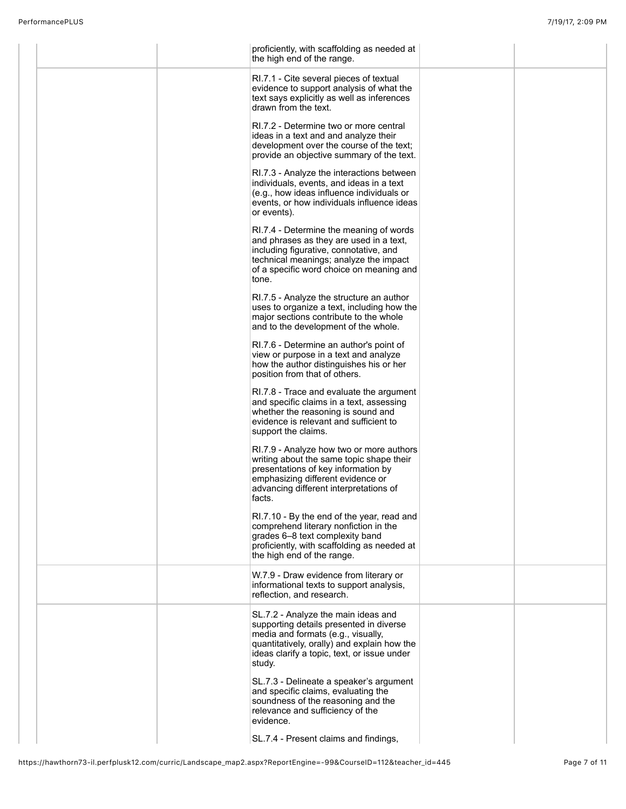| proficiently, with scaffolding as needed at<br>the high end of the range.                                                                                                                                                    |  |
|------------------------------------------------------------------------------------------------------------------------------------------------------------------------------------------------------------------------------|--|
| RI.7.1 - Cite several pieces of textual<br>evidence to support analysis of what the<br>text says explicitly as well as inferences<br>drawn from the text.                                                                    |  |
| RI.7.2 - Determine two or more central<br>ideas in a text and and analyze their<br>development over the course of the text;<br>provide an objective summary of the text.                                                     |  |
| RI.7.3 - Analyze the interactions between<br>individuals, events, and ideas in a text<br>(e.g., how ideas influence individuals or<br>events, or how individuals influence ideas<br>or events).                              |  |
| RI.7.4 - Determine the meaning of words<br>and phrases as they are used in a text,<br>including figurative, connotative, and<br>technical meanings; analyze the impact<br>of a specific word choice on meaning and<br>tone.  |  |
| RI.7.5 - Analyze the structure an author<br>uses to organize a text, including how the<br>major sections contribute to the whole<br>and to the development of the whole.                                                     |  |
| RI.7.6 - Determine an author's point of<br>view or purpose in a text and analyze<br>how the author distinguishes his or her<br>position from that of others.                                                                 |  |
| RI.7.8 - Trace and evaluate the argument<br>and specific claims in a text, assessing<br>whether the reasoning is sound and<br>evidence is relevant and sufficient to<br>support the claims.                                  |  |
| RI.7.9 - Analyze how two or more authors<br>writing about the same topic shape their<br>presentations of key information by<br>emphasizing different evidence or<br>advancing different interpretations of<br>facts.         |  |
| RI.7.10 - By the end of the year, read and<br>comprehend literary nonfiction in the<br>grades 6-8 text complexity band<br>proficiently, with scaffolding as needed at<br>the high end of the range.                          |  |
| W.7.9 - Draw evidence from literary or<br>informational texts to support analysis,<br>reflection, and research.                                                                                                              |  |
| SL.7.2 - Analyze the main ideas and<br>supporting details presented in diverse<br>media and formats (e.g., visually,<br>quantitatively, orally) and explain how the<br>ideas clarify a topic, text, or issue under<br>study. |  |
| SL.7.3 - Delineate a speaker's argument<br>and specific claims, evaluating the<br>soundness of the reasoning and the<br>relevance and sufficiency of the<br>evidence.                                                        |  |
| SL.7.4 - Present claims and findings,                                                                                                                                                                                        |  |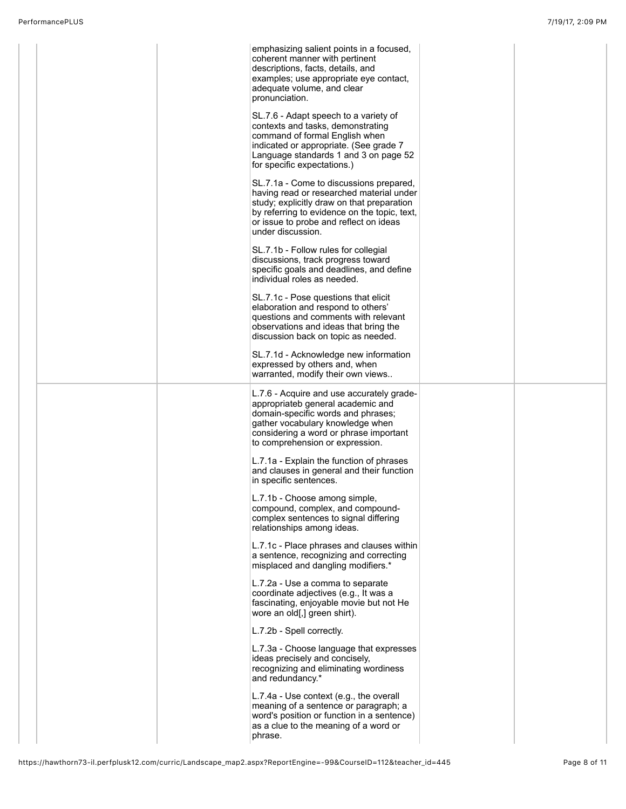|  | emphasizing salient points in a focused,<br>coherent manner with pertinent<br>descriptions, facts, details, and<br>examples; use appropriate eye contact,<br>adequate volume, and clear<br>pronunciation.                                        |  |
|--|--------------------------------------------------------------------------------------------------------------------------------------------------------------------------------------------------------------------------------------------------|--|
|  | SL.7.6 - Adapt speech to a variety of<br>contexts and tasks, demonstrating<br>command of formal English when<br>indicated or appropriate. (See grade 7<br>Language standards 1 and 3 on page 52<br>for specific expectations.)                   |  |
|  | SL.7.1a - Come to discussions prepared,<br>having read or researched material under<br>study; explicitly draw on that preparation<br>by referring to evidence on the topic, text,<br>or issue to probe and reflect on ideas<br>under discussion. |  |
|  | SL.7.1b - Follow rules for collegial<br>discussions, track progress toward<br>specific goals and deadlines, and define<br>individual roles as needed.                                                                                            |  |
|  | SL.7.1c - Pose questions that elicit<br>elaboration and respond to others'<br>questions and comments with relevant<br>observations and ideas that bring the<br>discussion back on topic as needed.                                               |  |
|  | SL.7.1d - Acknowledge new information<br>expressed by others and, when<br>warranted, modify their own views                                                                                                                                      |  |
|  | L.7.6 - Acquire and use accurately grade-<br>appropriateb general academic and<br>domain-specific words and phrases;<br>gather vocabulary knowledge when<br>considering a word or phrase important<br>to comprehension or expression.            |  |
|  | L.7.1a - Explain the function of phrases<br>and clauses in general and their function<br>in specific sentences.                                                                                                                                  |  |
|  | L.7.1b - Choose among simple,<br>compound, complex, and compound-<br>complex sentences to signal differing<br>relationships among ideas.                                                                                                         |  |
|  | L.7.1c - Place phrases and clauses within<br>a sentence, recognizing and correcting<br>misplaced and dangling modifiers.*                                                                                                                        |  |
|  | L.7.2a - Use a comma to separate<br>coordinate adjectives (e.g., It was a<br>fascinating, enjoyable movie but not He<br>wore an old[,] green shirt).                                                                                             |  |
|  | L.7.2b - Spell correctly.                                                                                                                                                                                                                        |  |
|  | L.7.3a - Choose language that expresses<br>ideas precisely and concisely,<br>recognizing and eliminating wordiness<br>and redundancy.*                                                                                                           |  |
|  | L.7.4a - Use context (e.g., the overall<br>meaning of a sentence or paragraph; a<br>word's position or function in a sentence)<br>as a clue to the meaning of a word or<br>phrase.                                                               |  |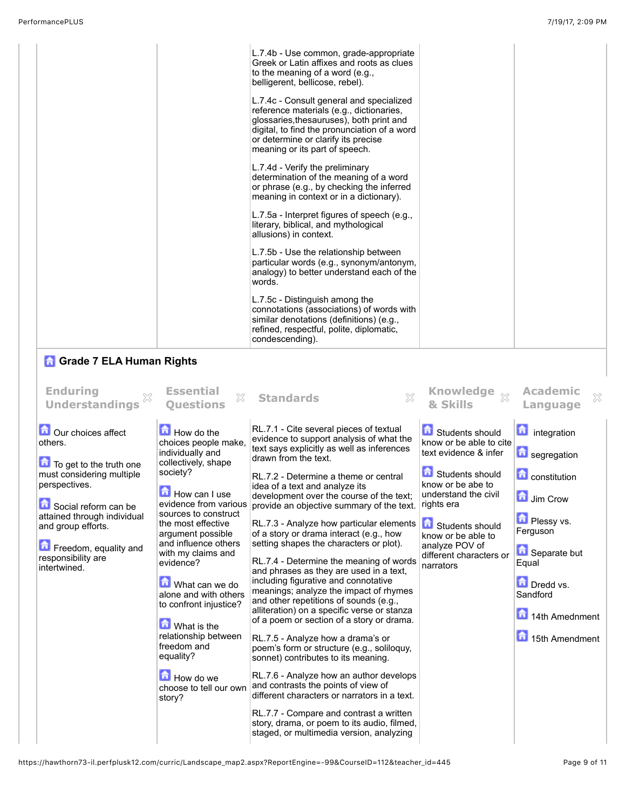|                                                                    |                                                                                         | L.7.4b - Use common, grade-appropriate<br>Greek or Latin affixes and roots as clues<br>to the meaning of a word (e.g.,<br>belligerent, bellicose, rebel).                                                                                                 |                                                                            |                                            |  |
|--------------------------------------------------------------------|-----------------------------------------------------------------------------------------|-----------------------------------------------------------------------------------------------------------------------------------------------------------------------------------------------------------------------------------------------------------|----------------------------------------------------------------------------|--------------------------------------------|--|
|                                                                    |                                                                                         | L.7.4c - Consult general and specialized<br>reference materials (e.g., dictionaries,<br>glossaries, thesauruses), both print and<br>digital, to find the pronunciation of a word<br>or determine or clarify its precise<br>meaning or its part of speech. |                                                                            |                                            |  |
|                                                                    |                                                                                         | L.7.4d - Verify the preliminary<br>determination of the meaning of a word<br>or phrase (e.g., by checking the inferred<br>meaning in context or in a dictionary).                                                                                         |                                                                            |                                            |  |
|                                                                    |                                                                                         | L.7.5a - Interpret figures of speech (e.g.,<br>literary, biblical, and mythological<br>allusions) in context.                                                                                                                                             |                                                                            |                                            |  |
|                                                                    |                                                                                         | L.7.5b - Use the relationship between<br>particular words (e.g., synonym/antonym,<br>analogy) to better understand each of the<br>words.                                                                                                                  |                                                                            |                                            |  |
|                                                                    |                                                                                         | L.7.5c - Distinguish among the<br>connotations (associations) of words with<br>similar denotations (definitions) (e.g.,<br>refined, respectful, polite, diplomatic,<br>condescending).                                                                    |                                                                            |                                            |  |
| <b>n</b> Grade 7 ELA Human Rights                                  |                                                                                         |                                                                                                                                                                                                                                                           |                                                                            |                                            |  |
| <b>Enduring</b><br><b>Understandings</b>                           | <b>Essential</b><br>X<br><b>Ouestions</b>                                               | X<br><b>Standards</b>                                                                                                                                                                                                                                     | Knowledge xx<br>& Skills                                                   | <b>Academic</b><br>×<br>Language           |  |
| Our choices affect<br>others.<br>To get to the truth one           | How do the<br>choices people make,<br>individually and<br>collectively, shape           | RL.7.1 - Cite several pieces of textual<br>evidence to support analysis of what the<br>text says explicitly as well as inferences<br>drawn from the text.                                                                                                 | Students should<br>know or be able to cite<br>text evidence & infer        | integration<br>segregation                 |  |
| must considering multiple<br>perspectives.<br>Social reform can be | society?<br>m<br><b>How can I use</b><br>evidence from various                          | RL.7.2 - Determine a theme or central<br>idea of a text and analyze its<br>development over the course of the text;<br>provide an objective summary of the text.                                                                                          | Students should<br>know or be abe to<br>understand the civil<br>rights era | <b>n</b> constitution<br><b>D</b> Jim Crow |  |
| attained through individual<br>and group efforts.                  | sources to construct<br>the most effective<br>argument possible<br>and influence others | RL.7.3 - Analyze how particular elements<br>of a story or drama interact (e.g., how<br>setting shapes the characters or plot).                                                                                                                            | Students should<br>know or be able to<br>analyze POV of                    | <b>D</b> Plessy vs.<br>Ferguson            |  |
| Freedom, equality and<br>responsibility are<br>intertwined.        | with my claims and<br>evidence?                                                         | RL.7.4 - Determine the meaning of words<br>and phrases as they are used in a text,                                                                                                                                                                        | different characters or<br>narrators                                       | Separate but<br>Equal                      |  |
|                                                                    | What can we do<br>alone and with others                                                 | including figurative and connotative<br>meanings; analyze the impact of rhymes                                                                                                                                                                            |                                                                            | Dredd vs.<br>Sandford                      |  |

and other repetitions of sounds (e.g., alliteration) on a specific verse or stanza of a poem or section of a story or drama.

RL.7.5 - Analyze how a drama's or poem's form or structure (e.g., soliloquy, sonnet) contributes to its meaning.

RL.7.6 - Analyze how an author develops different characters or narrators in a text. RL.7.7 - Compare and contrast a written story, drama, or poem to its audio, filmed, staged, or multimedia version, analyzing

https://hawthorn73-il.perfplusk12.com/curric/Landscape\_map2.aspx?ReportEngine=-99&CourseID=112&teacher\_id=445 Page 9 of 11

choose to tell our own  $\vert$  and contrasts the points of view of

to confront injustice?

**M** What is the relationship between freedom and equality?

**How do we** 

story?

14th Amednment

15th Amendment